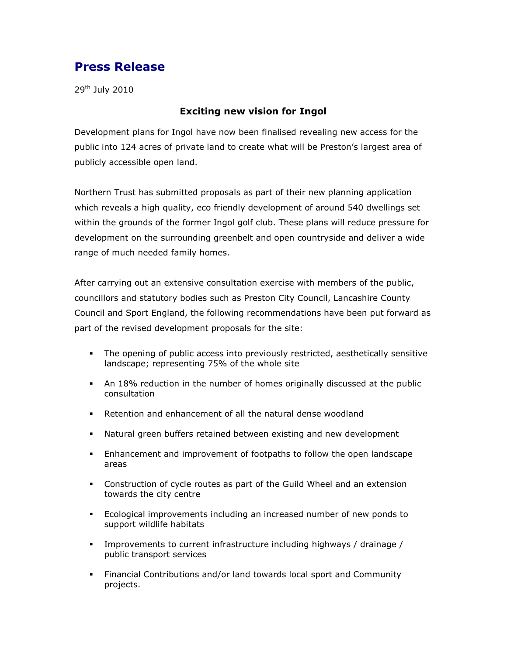## Press Release

29<sup>th</sup> July 2010

## Exciting new vision for Ingol

Development plans for Ingol have now been finalised revealing new access for the public into 124 acres of private land to create what will be Preston's largest area of publicly accessible open land.

Northern Trust has submitted proposals as part of their new planning application which reveals a high quality, eco friendly development of around 540 dwellings set within the grounds of the former Ingol golf club. These plans will reduce pressure for development on the surrounding greenbelt and open countryside and deliver a wide range of much needed family homes.

After carrying out an extensive consultation exercise with members of the public, councillors and statutory bodies such as Preston City Council, Lancashire County Council and Sport England, the following recommendations have been put forward as part of the revised development proposals for the site:

- The opening of public access into previously restricted, aesthetically sensitive landscape; representing 75% of the whole site
- An 18% reduction in the number of homes originally discussed at the public consultation
- Retention and enhancement of all the natural dense woodland
- Natural green buffers retained between existing and new development
- Enhancement and improvement of footpaths to follow the open landscape areas
- Construction of cycle routes as part of the Guild Wheel and an extension towards the city centre
- Ecological improvements including an increased number of new ponds to support wildlife habitats
- Improvements to current infrastructure including highways / drainage / public transport services
- Financial Contributions and/or land towards local sport and Community projects.